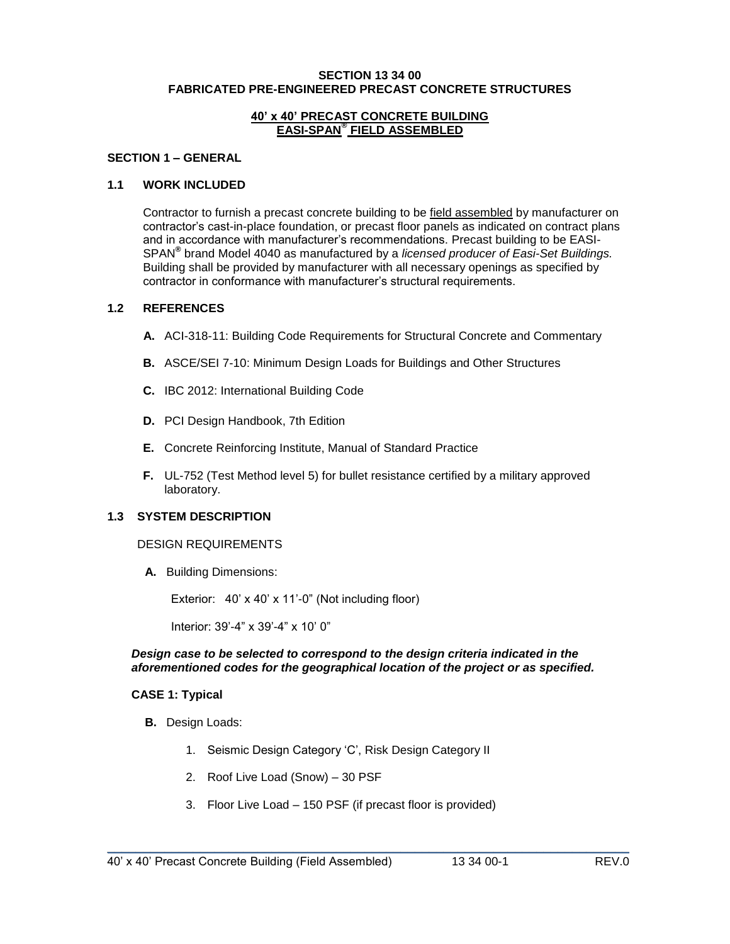#### **SECTION 13 34 00 FABRICATED PRE-ENGINEERED PRECAST CONCRETE STRUCTURES**

#### **40' x 40' PRECAST CONCRETE BUILDING EASI-SPAN® FIELD ASSEMBLED**

## **SECTION 1 – GENERAL**

### **1.1 WORK INCLUDED**

Contractor to furnish a precast concrete building to be field assembled by manufacturer on contractor's cast-in-place foundation, or precast floor panels as indicated on contract plans and in accordance with manufacturer's recommendations. Precast building to be EASI-SPAN**®** brand Model 4040 as manufactured by a *licensed producer of Easi-Set Buildings.* Building shall be provided by manufacturer with all necessary openings as specified by contractor in conformance with manufacturer's structural requirements.

### **1.2 REFERENCES**

- **A.** ACI-318-11: Building Code Requirements for Structural Concrete and Commentary
- **B.** ASCE/SEI 7-10: Minimum Design Loads for Buildings and Other Structures
- **C.** IBC 2012: International Building Code
- **D.** PCI Design Handbook, 7th Edition
- **E.** Concrete Reinforcing Institute, Manual of Standard Practice
- **F.** UL-752 (Test Method level 5) for bullet resistance certified by a military approved laboratory.

## **1.3 SYSTEM DESCRIPTION**

#### DESIGN REQUIREMENTS

**A.** Building Dimensions:

Exterior: 40' x 40' x 11'-0" (Not including floor)

Interior: 39'-4" x 39'-4" x 10' 0"

### *Design case to be selected to correspond to the design criteria indicated in the aforementioned codes for the geographical location of the project or as specified.*

#### **CASE 1: Typical**

- **B.** Design Loads:
	- 1. Seismic Design Category 'C', Risk Design Category II
	- 2. Roof Live Load (Snow) 30 PSF
	- 3. Floor Live Load 150 PSF (if precast floor is provided)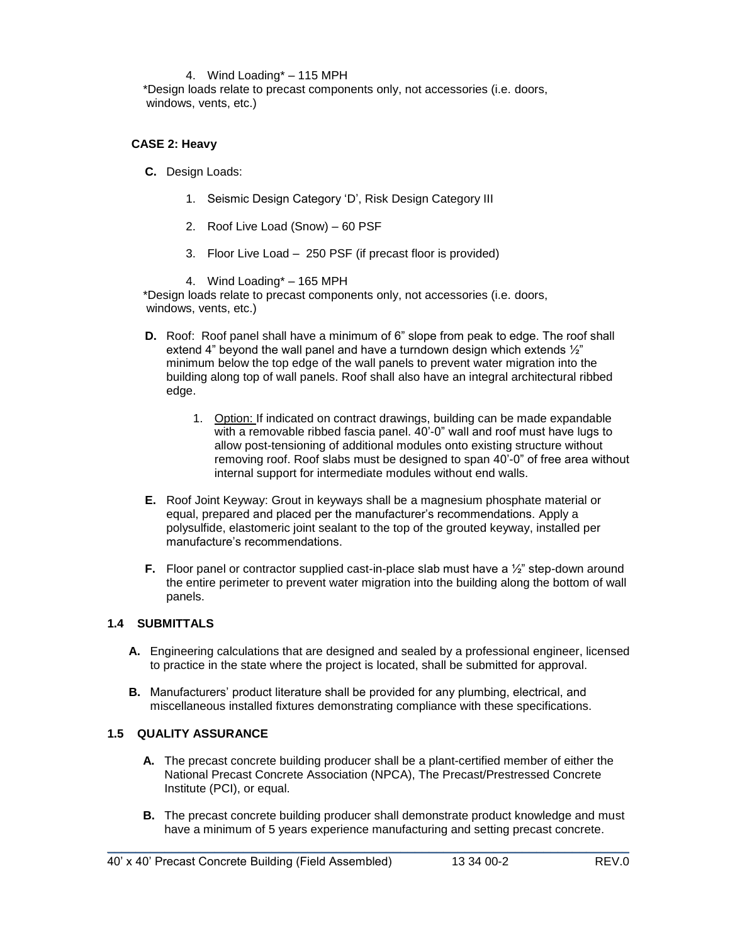### 4. Wind Loading\* – 115 MPH

\*Design loads relate to precast components only, not accessories (i.e. doors, windows, vents, etc.)

### **CASE 2: Heavy**

- **C.** Design Loads:
	- 1. Seismic Design Category 'D', Risk Design Category III
	- 2. Roof Live Load (Snow) 60 PSF
	- 3. Floor Live Load 250 PSF (if precast floor is provided)

4. Wind Loading\* – 165 MPH

\*Design loads relate to precast components only, not accessories (i.e. doors, windows, vents, etc.)

- **D.** Roof: Roof panel shall have a minimum of 6" slope from peak to edge. The roof shall extend 4" beyond the wall panel and have a turndown design which extends ½" minimum below the top edge of the wall panels to prevent water migration into the building along top of wall panels. Roof shall also have an integral architectural ribbed edge.
	- 1. Option: If indicated on contract drawings, building can be made expandable with a removable ribbed fascia panel. 40'-0" wall and roof must have lugs to allow post-tensioning of additional modules onto existing structure without removing roof. Roof slabs must be designed to span 40'-0" of free area without internal support for intermediate modules without end walls.
- **E.** Roof Joint Keyway: Grout in keyways shall be a magnesium phosphate material or equal, prepared and placed per the manufacturer's recommendations. Apply a polysulfide, elastomeric joint sealant to the top of the grouted keyway, installed per manufacture's recommendations.
- **F.** Floor panel or contractor supplied cast-in-place slab must have a  $\frac{1}{2}$ " step-down around the entire perimeter to prevent water migration into the building along the bottom of wall panels.

## **1.4 SUBMITTALS**

- **A.** Engineering calculations that are designed and sealed by a professional engineer, licensed to practice in the state where the project is located, shall be submitted for approval.
- **B.** Manufacturers' product literature shall be provided for any plumbing, electrical, and miscellaneous installed fixtures demonstrating compliance with these specifications.

## **1.5 QUALITY ASSURANCE**

- **A.** The precast concrete building producer shall be a plant-certified member of either the National Precast Concrete Association (NPCA), The Precast/Prestressed Concrete Institute (PCI), or equal.
- **B.** The precast concrete building producer shall demonstrate product knowledge and must have a minimum of 5 years experience manufacturing and setting precast concrete.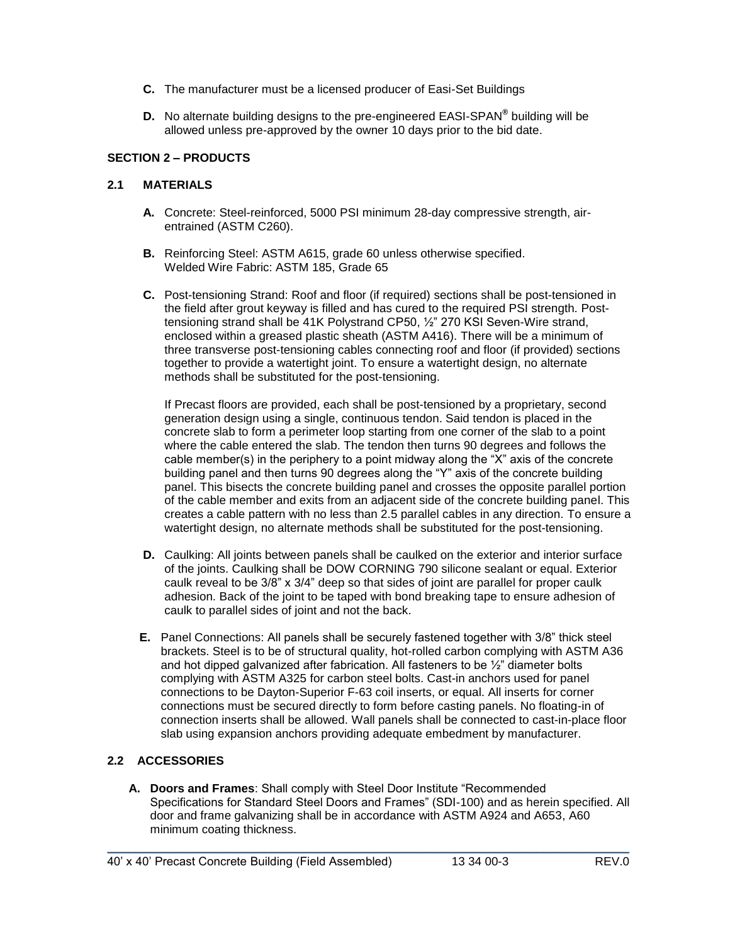- **C.** The manufacturer must be a licensed producer of Easi-Set Buildings
- **D.** No alternate building designs to the pre-engineered EASI-SPAN**®** building will be allowed unless pre-approved by the owner 10 days prior to the bid date.

# **SECTION 2 – PRODUCTS**

# **2.1 MATERIALS**

- **A.** Concrete: Steel-reinforced, 5000 PSI minimum 28-day compressive strength, airentrained (ASTM C260).
- **B.** Reinforcing Steel: ASTM A615, grade 60 unless otherwise specified. Welded Wire Fabric: ASTM 185, Grade 65
- **C.** Post-tensioning Strand: Roof and floor (if required) sections shall be post-tensioned in the field after grout keyway is filled and has cured to the required PSI strength. Posttensioning strand shall be 41K Polystrand CP50, ½" 270 KSI Seven-Wire strand, enclosed within a greased plastic sheath (ASTM A416). There will be a minimum of three transverse post-tensioning cables connecting roof and floor (if provided) sections together to provide a watertight joint. To ensure a watertight design, no alternate methods shall be substituted for the post-tensioning.

If Precast floors are provided, each shall be post-tensioned by a proprietary, second generation design using a single, continuous tendon. Said tendon is placed in the concrete slab to form a perimeter loop starting from one corner of the slab to a point where the cable entered the slab. The tendon then turns 90 degrees and follows the cable member(s) in the periphery to a point midway along the "X" axis of the concrete building panel and then turns 90 degrees along the "Y" axis of the concrete building panel. This bisects the concrete building panel and crosses the opposite parallel portion of the cable member and exits from an adjacent side of the concrete building panel. This creates a cable pattern with no less than 2.5 parallel cables in any direction. To ensure a watertight design, no alternate methods shall be substituted for the post-tensioning.

- **D.** Caulking: All joints between panels shall be caulked on the exterior and interior surface of the joints. Caulking shall be DOW CORNING 790 silicone sealant or equal. Exterior caulk reveal to be 3/8" x 3/4" deep so that sides of joint are parallel for proper caulk adhesion. Back of the joint to be taped with bond breaking tape to ensure adhesion of caulk to parallel sides of joint and not the back.
- **E.** Panel Connections: All panels shall be securely fastened together with 3/8" thick steel brackets. Steel is to be of structural quality, hot-rolled carbon complying with ASTM A36 and hot dipped galvanized after fabrication. All fasteners to be ½" diameter bolts complying with ASTM A325 for carbon steel bolts. Cast-in anchors used for panel connections to be Dayton-Superior F-63 coil inserts, or equal. All inserts for corner connections must be secured directly to form before casting panels. No floating-in of connection inserts shall be allowed. Wall panels shall be connected to cast-in-place floor slab using expansion anchors providing adequate embedment by manufacturer.

# **2.2 ACCESSORIES**

**A. Doors and Frames**: Shall comply with Steel Door Institute "Recommended Specifications for Standard Steel Doors and Frames" (SDI-100) and as herein specified. All door and frame galvanizing shall be in accordance with ASTM A924 and A653, A60 minimum coating thickness.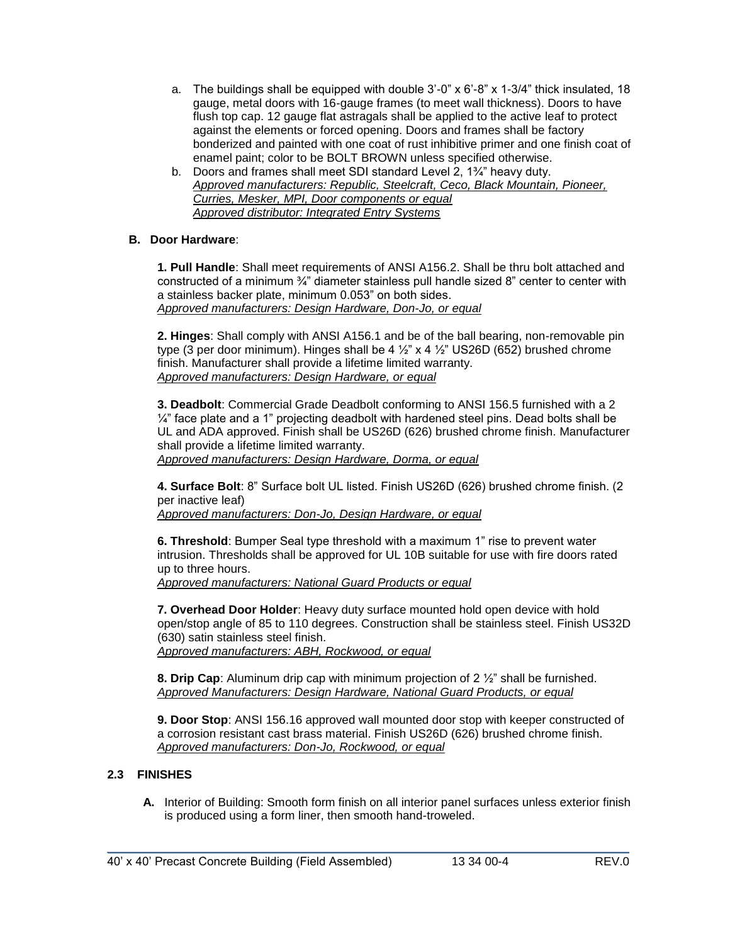- a. The buildings shall be equipped with double  $3'$ -0" x  $6'$ -8" x  $1-3/4$ " thick insulated, 18 gauge, metal doors with 16-gauge frames (to meet wall thickness). Doors to have flush top cap. 12 gauge flat astragals shall be applied to the active leaf to protect against the elements or forced opening. Doors and frames shall be factory bonderized and painted with one coat of rust inhibitive primer and one finish coat of enamel paint; color to be BOLT BROWN unless specified otherwise.
- b. Doors and frames shall meet SDI standard Level 2, 1¾" heavy duty. *Approved manufacturers: Republic, Steelcraft, Ceco, Black Mountain, Pioneer, Curries, Mesker, MPI, Door components or equal Approved distributor: Integrated Entry Systems*

# **B. Door Hardware**:

**1. Pull Handle**: Shall meet requirements of ANSI A156.2. Shall be thru bolt attached and constructed of a minimum ¾" diameter stainless pull handle sized 8" center to center with a stainless backer plate, minimum 0.053" on both sides. *Approved manufacturers: Design Hardware, Don-Jo, or equal*

**2. Hinges**: Shall comply with ANSI A156.1 and be of the ball bearing, non-removable pin type (3 per door minimum). Hinges shall be 4  $\frac{1}{2}$  x 4  $\frac{1}{2}$  US26D (652) brushed chrome finish. Manufacturer shall provide a lifetime limited warranty. *Approved manufacturers: Design Hardware, or equal*

**3. Deadbolt**: Commercial Grade Deadbolt conforming to ANSI 156.5 furnished with a 2  $\frac{1}{4}$ " face plate and a 1" projecting deadbolt with hardened steel pins. Dead bolts shall be UL and ADA approved. Finish shall be US26D (626) brushed chrome finish. Manufacturer shall provide a lifetime limited warranty.

*Approved manufacturers: Design Hardware, Dorma, or equal*

**4. Surface Bolt**: 8" Surface bolt UL listed. Finish US26D (626) brushed chrome finish. (2 per inactive leaf)

*Approved manufacturers: Don-Jo, Design Hardware, or equal*

**6. Threshold**: Bumper Seal type threshold with a maximum 1" rise to prevent water intrusion. Thresholds shall be approved for UL 10B suitable for use with fire doors rated up to three hours.

*Approved manufacturers: National Guard Products or equal* 

**7. Overhead Door Holder**: Heavy duty surface mounted hold open device with hold open/stop angle of 85 to 110 degrees. Construction shall be stainless steel. Finish US32D (630) satin stainless steel finish. *Approved manufacturers: ABH, Rockwood, or equal*

**8. Drip Cap**: Aluminum drip cap with minimum projection of 2 ½" shall be furnished. *Approved Manufacturers: Design Hardware, National Guard Products, or equal*

**9. Door Stop**: ANSI 156.16 approved wall mounted door stop with keeper constructed of a corrosion resistant cast brass material. Finish US26D (626) brushed chrome finish. *Approved manufacturers: Don-Jo, Rockwood, or equal*

# **2.3 FINISHES**

**A.** Interior of Building: Smooth form finish on all interior panel surfaces unless exterior finish is produced using a form liner, then smooth hand-troweled.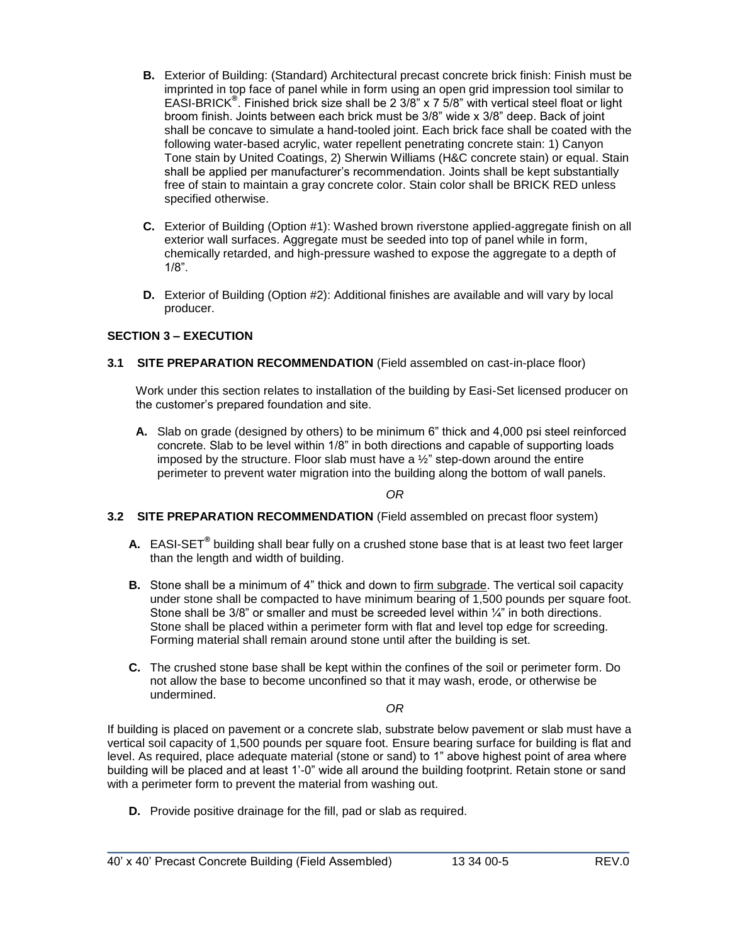- **B.** Exterior of Building: (Standard) Architectural precast concrete brick finish: Finish must be imprinted in top face of panel while in form using an open grid impression tool similar to EASI-BRICK**®** . Finished brick size shall be 2 3/8" x 7 5/8" with vertical steel float or light broom finish. Joints between each brick must be 3/8" wide x 3/8" deep. Back of joint shall be concave to simulate a hand-tooled joint. Each brick face shall be coated with the following water-based acrylic, water repellent penetrating concrete stain: 1) Canyon Tone stain by United Coatings, 2) Sherwin Williams (H&C concrete stain) or equal. Stain shall be applied per manufacturer's recommendation. Joints shall be kept substantially free of stain to maintain a gray concrete color. Stain color shall be BRICK RED unless specified otherwise.
- **C.** Exterior of Building (Option #1): Washed brown riverstone applied-aggregate finish on all exterior wall surfaces. Aggregate must be seeded into top of panel while in form, chemically retarded, and high-pressure washed to expose the aggregate to a depth of 1/8".
- **D.** Exterior of Building (Option #2): Additional finishes are available and will vary by local producer.

# **SECTION 3 – EXECUTION**

**3.1 SITE PREPARATION RECOMMENDATION** (Field assembled on cast-in-place floor)

Work under this section relates to installation of the building by Easi-Set licensed producer on the customer's prepared foundation and site.

**A.** Slab on grade (designed by others) to be minimum 6" thick and 4,000 psi steel reinforced concrete. Slab to be level within 1/8" in both directions and capable of supporting loads imposed by the structure. Floor slab must have a ½" step-down around the entire perimeter to prevent water migration into the building along the bottom of wall panels.

*OR*

## **3.2 SITE PREPARATION RECOMMENDATION** (Field assembled on precast floor system)

- **A.** EASI-SET**®** building shall bear fully on a crushed stone base that is at least two feet larger than the length and width of building.
- **B.** Stone shall be a minimum of 4" thick and down to firm subgrade. The vertical soil capacity under stone shall be compacted to have minimum bearing of 1,500 pounds per square foot. Stone shall be  $3/8$ " or smaller and must be screeded level within  $\frac{1}{4}$ " in both directions. Stone shall be placed within a perimeter form with flat and level top edge for screeding. Forming material shall remain around stone until after the building is set.
- **C.** The crushed stone base shall be kept within the confines of the soil or perimeter form. Do not allow the base to become unconfined so that it may wash, erode, or otherwise be undermined.

*OR*

If building is placed on pavement or a concrete slab, substrate below pavement or slab must have a vertical soil capacity of 1,500 pounds per square foot. Ensure bearing surface for building is flat and level. As required, place adequate material (stone or sand) to 1" above highest point of area where building will be placed and at least 1'-0" wide all around the building footprint. Retain stone or sand with a perimeter form to prevent the material from washing out.

\_\_\_\_\_\_\_\_\_\_\_\_\_\_\_\_\_\_\_\_\_\_\_\_\_\_\_\_\_\_\_\_\_\_\_\_\_\_\_\_\_\_\_\_\_\_\_\_\_\_\_\_\_\_\_\_\_\_\_\_\_\_\_\_\_\_\_\_\_\_\_\_\_

**D.** Provide positive drainage for the fill, pad or slab as required.